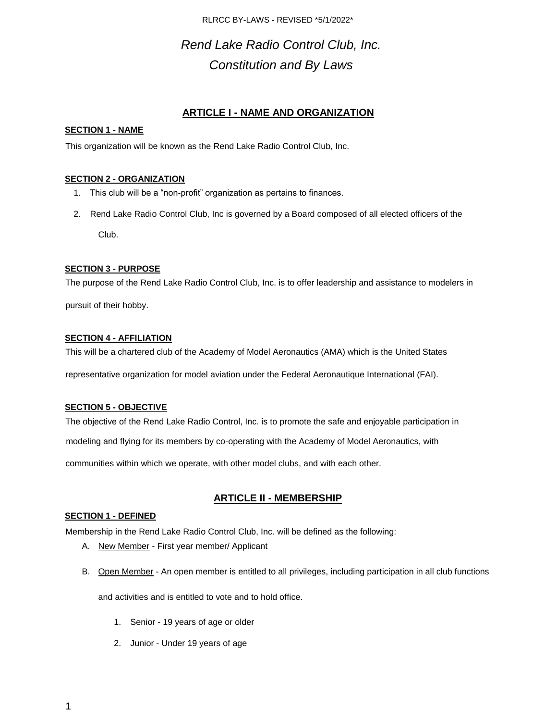# *Rend Lake Radio Control Club, Inc. Constitution and By Laws*

## **ARTICLE I - NAME AND ORGANIZATION**

### **SECTION 1 - NAME**

This organization will be known as the Rend Lake Radio Control Club, Inc.

### **SECTION 2 - ORGANIZATION**

- 1. This club will be a "non-profit" organization as pertains to finances.
- 2. Rend Lake Radio Control Club, Inc is governed by a Board composed of all elected officers of the Club.

### **SECTION 3 - PURPOSE**

The purpose of the Rend Lake Radio Control Club, Inc. is to offer leadership and assistance to modelers in

pursuit of their hobby.

### **SECTION 4 - AFFILIATION**

This will be a chartered club of the Academy of Model Aeronautics (AMA) which is the United States

representative organization for model aviation under the Federal Aeronautique International (FAI).

### **SECTION 5 - OBJECTIVE**

The objective of the Rend Lake Radio Control, Inc. is to promote the safe and enjoyable participation in

modeling and flying for its members by co-operating with the Academy of Model Aeronautics, with

communities within which we operate, with other model clubs, and with each other.

## **ARTICLE II - MEMBERSHIP**

## **SECTION 1 - DEFINED**

Membership in the Rend Lake Radio Control Club, Inc. will be defined as the following:

- A. New Member First year member/ Applicant
- B. Open Member An open member is entitled to all privileges, including participation in all club functions

and activities and is entitled to vote and to hold office.

- 1. Senior 19 years of age or older
- 2. Junior Under 19 years of age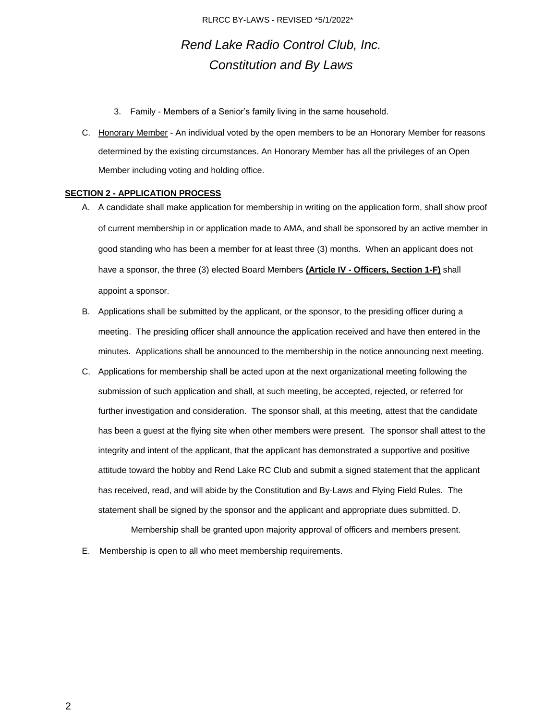## *Rend Lake Radio Control Club, Inc. Constitution and By Laws*

- 3. Family Members of a Senior's family living in the same household.
- C. Honorary Member An individual voted by the open members to be an Honorary Member for reasons determined by the existing circumstances. An Honorary Member has all the privileges of an Open Member including voting and holding office.

#### **SECTION 2 - APPLICATION PROCESS**

- A. A candidate shall make application for membership in writing on the application form, shall show proof of current membership in or application made to AMA, and shall be sponsored by an active member in good standing who has been a member for at least three (3) months. When an applicant does not have a sponsor, the three (3) elected Board Members **(Article IV - Officers, Section 1-F)** shall appoint a sponsor.
- B. Applications shall be submitted by the applicant, or the sponsor, to the presiding officer during a meeting. The presiding officer shall announce the application received and have then entered in the minutes. Applications shall be announced to the membership in the notice announcing next meeting.
- C. Applications for membership shall be acted upon at the next organizational meeting following the submission of such application and shall, at such meeting, be accepted, rejected, or referred for further investigation and consideration. The sponsor shall, at this meeting, attest that the candidate has been a guest at the flying site when other members were present. The sponsor shall attest to the integrity and intent of the applicant, that the applicant has demonstrated a supportive and positive attitude toward the hobby and Rend Lake RC Club and submit a signed statement that the applicant has received, read, and will abide by the Constitution and By-Laws and Flying Field Rules. The statement shall be signed by the sponsor and the applicant and appropriate dues submitted. D.

Membership shall be granted upon majority approval of officers and members present.

E. Membership is open to all who meet membership requirements.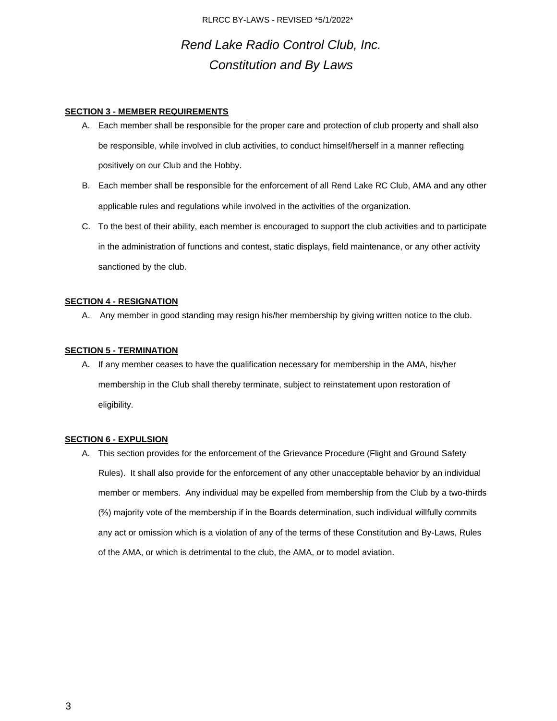## *Rend Lake Radio Control Club, Inc. Constitution and By Laws*

#### **SECTION 3 - MEMBER REQUIREMENTS**

- A. Each member shall be responsible for the proper care and protection of club property and shall also be responsible, while involved in club activities, to conduct himself/herself in a manner reflecting positively on our Club and the Hobby.
- B. Each member shall be responsible for the enforcement of all Rend Lake RC Club, AMA and any other applicable rules and regulations while involved in the activities of the organization.
- C. To the best of their ability, each member is encouraged to support the club activities and to participate in the administration of functions and contest, static displays, field maintenance, or any other activity sanctioned by the club.

### **SECTION 4 - RESIGNATION**

A. Any member in good standing may resign his/her membership by giving written notice to the club.

#### **SECTION 5 - TERMINATION**

A. If any member ceases to have the qualification necessary for membership in the AMA, his/her membership in the Club shall thereby terminate, subject to reinstatement upon restoration of eligibility.

#### **SECTION 6 - EXPULSION**

A. This section provides for the enforcement of the Grievance Procedure (Flight and Ground Safety Rules). It shall also provide for the enforcement of any other unacceptable behavior by an individual member or members. Any individual may be expelled from membership from the Club by a two-thirds (⅔) majority vote of the membership if in the Boards determination, such individual willfully commits any act or omission which is a violation of any of the terms of these Constitution and By-Laws, Rules of the AMA, or which is detrimental to the club, the AMA, or to model aviation.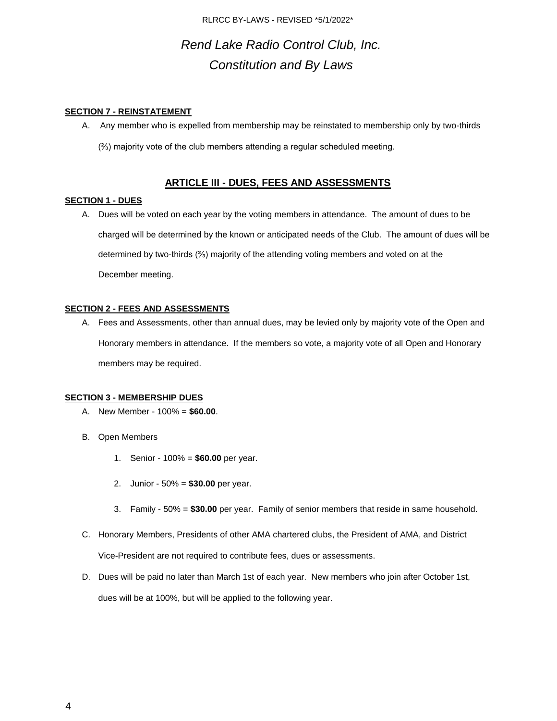# *Rend Lake Radio Control Club, Inc. Constitution and By Laws*

### **SECTION 7 - REINSTATEMENT**

A. Any member who is expelled from membership may be reinstated to membership only by two-thirds (⅔) majority vote of the club members attending a regular scheduled meeting.

## **ARTICLE III - DUES, FEES AND ASSESSMENTS**

#### **SECTION 1 - DUES**

A. Dues will be voted on each year by the voting members in attendance. The amount of dues to be charged will be determined by the known or anticipated needs of the Club. The amount of dues will be determined by two-thirds (⅔) majority of the attending voting members and voted on at the December meeting.

#### **SECTION 2 - FEES AND ASSESSMENTS**

A. Fees and Assessments, other than annual dues, may be levied only by majority vote of the Open and Honorary members in attendance. If the members so vote, a majority vote of all Open and Honorary members may be required.

#### **SECTION 3 - MEMBERSHIP DUES**

- A. New Member 100% = **\$60.00**.
- B. Open Members
	- 1. Senior 100% = **\$60.00** per year.
	- 2. Junior 50% = **\$30.00** per year.
	- 3. Family 50% = **\$30.00** per year. Family of senior members that reside in same household.
- C. Honorary Members, Presidents of other AMA chartered clubs, the President of AMA, and District Vice-President are not required to contribute fees, dues or assessments.
- D. Dues will be paid no later than March 1st of each year. New members who join after October 1st, dues will be at 100%, but will be applied to the following year.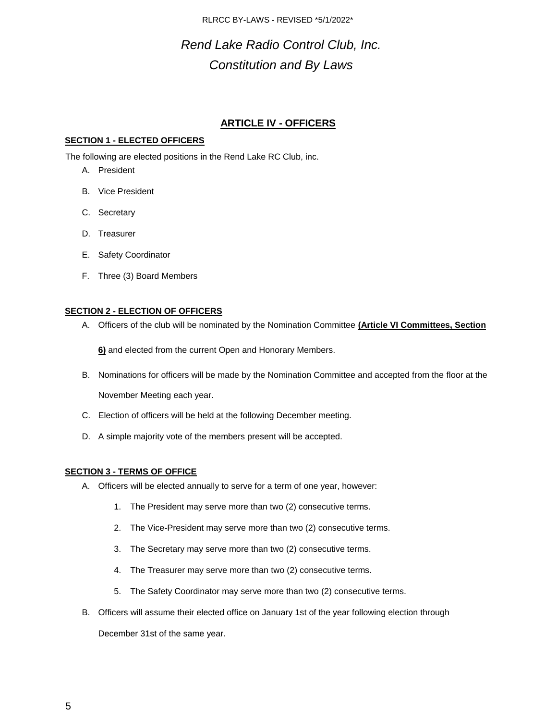# *Rend Lake Radio Control Club, Inc. Constitution and By Laws*

## **ARTICLE IV - OFFICERS**

## **SECTION 1 - ELECTED OFFICERS**

The following are elected positions in the Rend Lake RC Club, inc.

- A. President
- B. Vice President
- C. Secretary
- D. Treasurer
- E. Safety Coordinator
- F. Three (3) Board Members

### **SECTION 2 - ELECTION OF OFFICERS**

A. Officers of the club will be nominated by the Nomination Committee **(Article VI Committees, Section**

**6)** and elected from the current Open and Honorary Members.

- B. Nominations for officers will be made by the Nomination Committee and accepted from the floor at the November Meeting each year.
- C. Election of officers will be held at the following December meeting.
- D. A simple majority vote of the members present will be accepted.

### **SECTION 3 - TERMS OF OFFICE**

- A. Officers will be elected annually to serve for a term of one year, however:
	- 1. The President may serve more than two (2) consecutive terms.
	- 2. The Vice-President may serve more than two (2) consecutive terms.
	- 3. The Secretary may serve more than two (2) consecutive terms.
	- 4. The Treasurer may serve more than two (2) consecutive terms.
	- 5. The Safety Coordinator may serve more than two (2) consecutive terms.
- B. Officers will assume their elected office on January 1st of the year following election through

December 31st of the same year.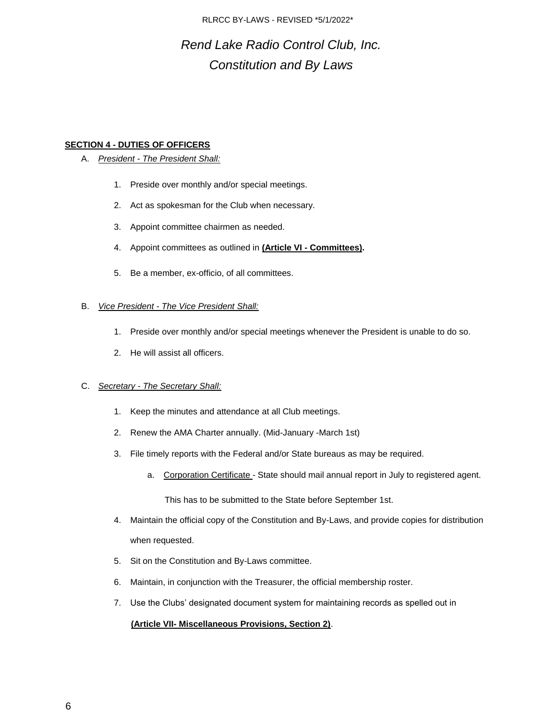# *Rend Lake Radio Control Club, Inc. Constitution and By Laws*

### **SECTION 4 - DUTIES OF OFFICERS**

### A. *President - The President Shall:*

- 1. Preside over monthly and/or special meetings.
- 2. Act as spokesman for the Club when necessary.
- 3. Appoint committee chairmen as needed.
- 4. Appoint committees as outlined in **(Article VI - Committees).**
- 5. Be a member, ex-officio, of all committees.

### B. *Vice President - The Vice President Shall:*

- 1. Preside over monthly and/or special meetings whenever the President is unable to do so.
- 2. He will assist all officers.

### C. *Secretary - The Secretary Shall:*

- 1. Keep the minutes and attendance at all Club meetings.
- 2. Renew the AMA Charter annually. (Mid-January -March 1st)
- 3. File timely reports with the Federal and/or State bureaus as may be required.
	- a. Corporation Certificate State should mail annual report in July to registered agent.

This has to be submitted to the State before September 1st.

- 4. Maintain the official copy of the Constitution and By-Laws, and provide copies for distribution when requested.
- 5. Sit on the Constitution and By-Laws committee.
- 6. Maintain, in conjunction with the Treasurer, the official membership roster.
- 7. Use the Clubs' designated document system for maintaining records as spelled out in

## **(Article VII- Miscellaneous Provisions, Section 2)**.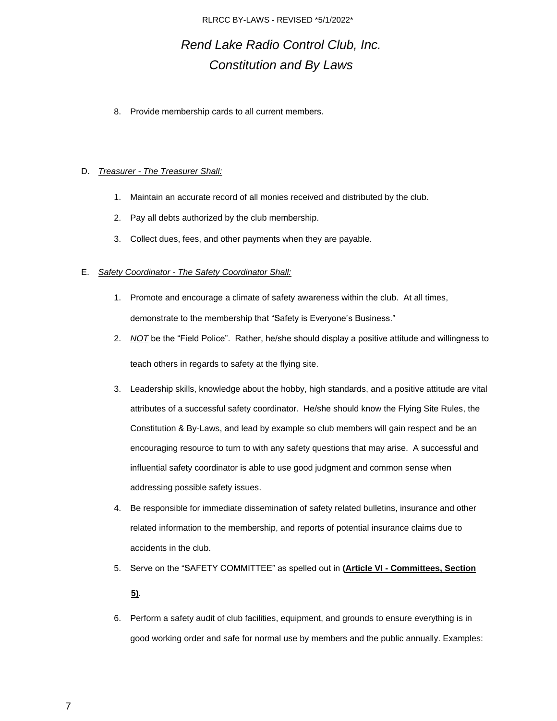# *Rend Lake Radio Control Club, Inc. Constitution and By Laws*

8. Provide membership cards to all current members.

### D. *Treasurer - The Treasurer Shall:*

- 1. Maintain an accurate record of all monies received and distributed by the club.
- 2. Pay all debts authorized by the club membership.
- 3. Collect dues, fees, and other payments when they are payable.

### E. *Safety Coordinator - The Safety Coordinator Shall:*

- 1. Promote and encourage a climate of safety awareness within the club. At all times, demonstrate to the membership that "Safety is Everyone's Business."
- 2. *NOT* be the "Field Police". Rather, he/she should display a positive attitude and willingness to teach others in regards to safety at the flying site.
- 3. Leadership skills, knowledge about the hobby, high standards, and a positive attitude are vital attributes of a successful safety coordinator. He/she should know the Flying Site Rules, the Constitution & By-Laws, and lead by example so club members will gain respect and be an encouraging resource to turn to with any safety questions that may arise. A successful and influential safety coordinator is able to use good judgment and common sense when addressing possible safety issues.
- 4. Be responsible for immediate dissemination of safety related bulletins, insurance and other related information to the membership, and reports of potential insurance claims due to accidents in the club.
- 5. Serve on the "SAFETY COMMITTEE" as spelled out in **(Article VI - Committees, Section 5)**.
- 6. Perform a safety audit of club facilities, equipment, and grounds to ensure everything is in good working order and safe for normal use by members and the public annually. Examples: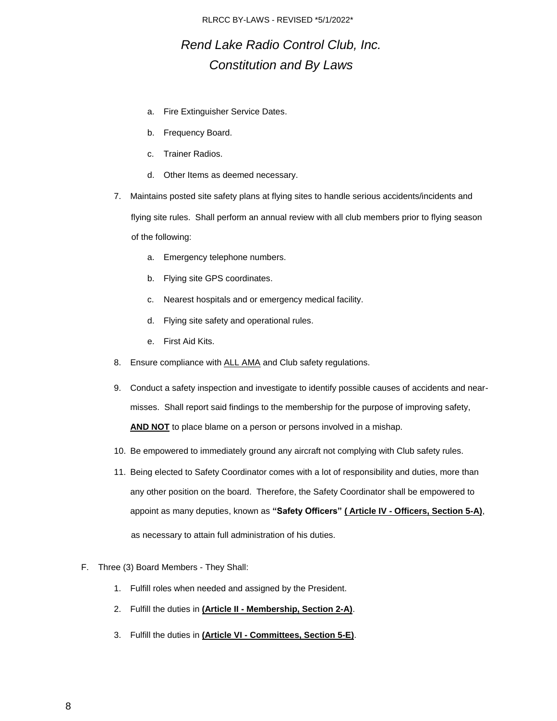## *Rend Lake Radio Control Club, Inc. Constitution and By Laws*

- a. Fire Extinguisher Service Dates.
- b. Frequency Board.
- c. Trainer Radios.
- d. Other Items as deemed necessary.
- 7. Maintains posted site safety plans at flying sites to handle serious accidents/incidents and flying site rules. Shall perform an annual review with all club members prior to flying season of the following:
	- a. Emergency telephone numbers.
	- b. Flying site GPS coordinates.
	- c. Nearest hospitals and or emergency medical facility.
	- d. Flying site safety and operational rules.
	- e. First Aid Kits.
- 8. Ensure compliance with ALL AMA and Club safety regulations.
- 9. Conduct a safety inspection and investigate to identify possible causes of accidents and nearmisses. Shall report said findings to the membership for the purpose of improving safety, **AND NOT** to place blame on a person or persons involved in a mishap.
- 10. Be empowered to immediately ground any aircraft not complying with Club safety rules.
- 11. Being elected to Safety Coordinator comes with a lot of responsibility and duties, more than any other position on the board. Therefore, the Safety Coordinator shall be empowered to appoint as many deputies, known as **"Safety Officers" ( Article IV - Officers, Section 5-A)**, as necessary to attain full administration of his duties.
- F. Three (3) Board Members They Shall:
	- 1. Fulfill roles when needed and assigned by the President.
	- 2. Fulfill the duties in **(Article II - Membership, Section 2-A)**.
	- 3. Fulfill the duties in **(Article VI - Committees, Section 5-E)**.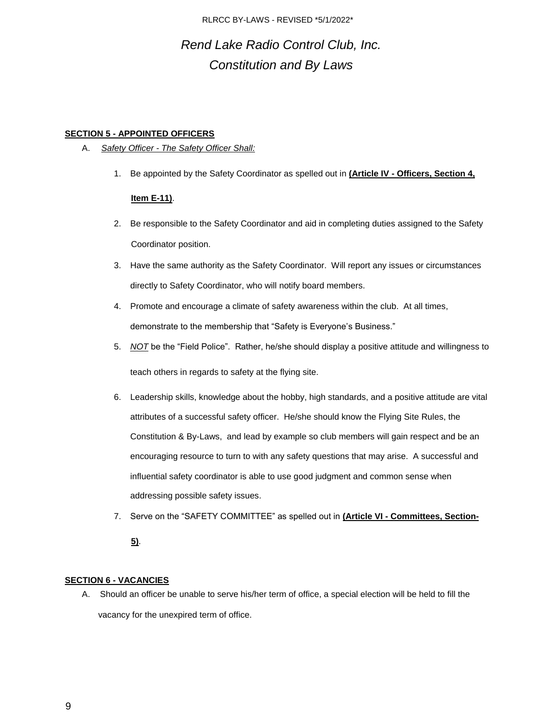## *Rend Lake Radio Control Club, Inc. Constitution and By Laws*

### **SECTION 5 - APPOINTED OFFICERS**

- A. *Safety Officer - The Safety Officer Shall:*
	- 1. Be appointed by the Safety Coordinator as spelled out in **(Article IV - Officers, Section 4,**

### **Item E-11)**.

- 2. Be responsible to the Safety Coordinator and aid in completing duties assigned to the Safety Coordinator position.
- 3. Have the same authority as the Safety Coordinator. Will report any issues or circumstances directly to Safety Coordinator, who will notify board members.
- 4. Promote and encourage a climate of safety awareness within the club. At all times, demonstrate to the membership that "Safety is Everyone's Business."
- 5. *NOT* be the "Field Police". Rather, he/she should display a positive attitude and willingness to teach others in regards to safety at the flying site.
- 6. Leadership skills, knowledge about the hobby, high standards, and a positive attitude are vital attributes of a successful safety officer. He/she should know the Flying Site Rules, the Constitution & By-Laws, and lead by example so club members will gain respect and be an encouraging resource to turn to with any safety questions that may arise. A successful and influential safety coordinator is able to use good judgment and common sense when addressing possible safety issues.
- 7. Serve on the "SAFETY COMMITTEE" as spelled out in **(Article VI - Committees, Section-**

### **5)**.

## **SECTION 6 - VACANCIES**

A. Should an officer be unable to serve his/her term of office, a special election will be held to fill the vacancy for the unexpired term of office.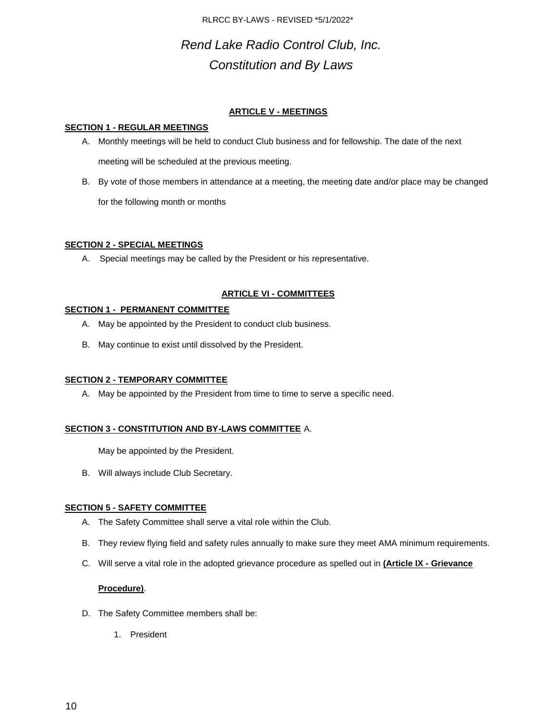# *Rend Lake Radio Control Club, Inc. Constitution and By Laws*

## **ARTICLE V - MEETINGS**

### **SECTION 1 - REGULAR MEETINGS**

- A. Monthly meetings will be held to conduct Club business and for fellowship. The date of the next meeting will be scheduled at the previous meeting.
- B. By vote of those members in attendance at a meeting, the meeting date and/or place may be changed for the following month or months

## **SECTION 2 - SPECIAL MEETINGS**

A. Special meetings may be called by the President or his representative.

## **ARTICLE VI - COMMITTEES**

## **SECTION 1 - PERMANENT COMMITTEE**

- A. May be appointed by the President to conduct club business.
- B. May continue to exist until dissolved by the President.

## **SECTION 2 - TEMPORARY COMMITTEE**

A. May be appointed by the President from time to time to serve a specific need.

## **SECTION 3 - CONSTITUTION AND BY-LAWS COMMITTEE** A.

May be appointed by the President.

B. Will always include Club Secretary.

## **SECTION 5 - SAFETY COMMITTEE**

- A. The Safety Committee shall serve a vital role within the Club.
- B. They review flying field and safety rules annually to make sure they meet AMA minimum requirements.
- C. Will serve a vital role in the adopted grievance procedure as spelled out in **(Article IX - Grievance**

## **Procedure)**.

- D. The Safety Committee members shall be:
	- 1. President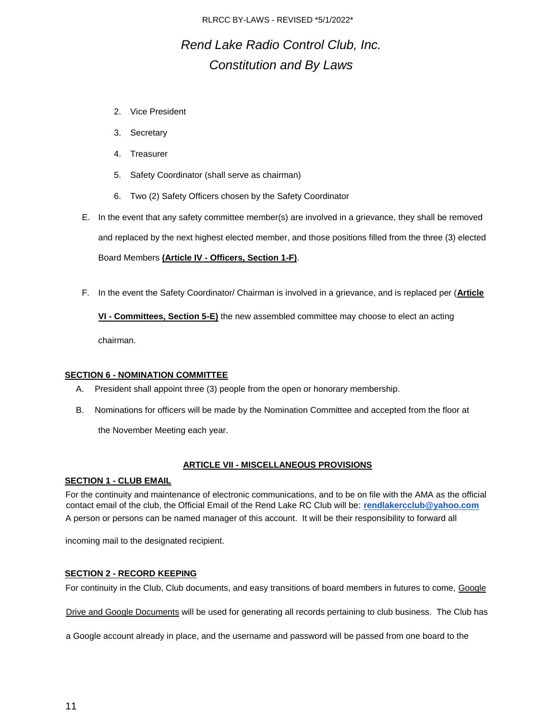# *Rend Lake Radio Control Club, Inc. Constitution and By Laws*

- 2. Vice President
- 3. Secretary
- 4. Treasurer
- 5. Safety Coordinator (shall serve as chairman)
- 6. Two (2) Safety Officers chosen by the Safety Coordinator
- E. In the event that any safety committee member(s) are involved in a grievance, they shall be removed and replaced by the next highest elected member, and those positions filled from the three (3) elected Board Members **(Article IV - Officers, Section 1-F)**.
- F. In the event the Safety Coordinator/ Chairman is involved in a grievance, and is replaced per (**Article**

**VI - Committees, Section 5-E)** the new assembled committee may choose to elect an acting

chairman.

### **SECTION 6 - NOMINATION COMMITTEE**

- A. President shall appoint three (3) people from the open or honorary membership.
- B. Nominations for officers will be made by the Nomination Committee and accepted from the floor at

the November Meeting each year.

### **ARTICLE VII - MISCELLANEOUS PROVISIONS**

### **SECTION 1 - CLUB EMAIL**

For the continuity and maintenance of electronic communications, and to be on file with the AMA as the official contact email of the club, the Official Email of the Rend Lake RC Club will be: **rendlakercclub@yahoo.com** A person or persons can be named manager of this account. It will be their responsibility to forward all

incoming mail to the designated recipient.

### **SECTION 2 - RECORD KEEPING**

For continuity in the Club, Club documents, and easy transitions of board members in futures to come, Google

Drive and Google Documents will be used for generating all records pertaining to club business. The Club has

a Google account already in place, and the username and password will be passed from one board to the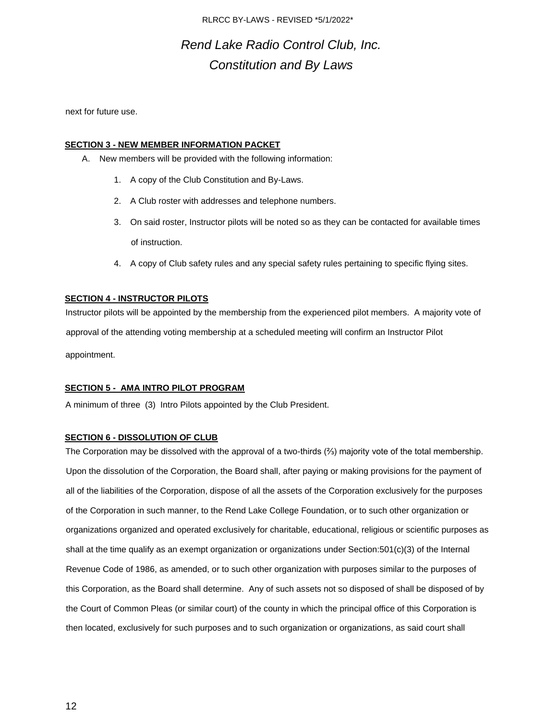## *Rend Lake Radio Control Club, Inc. Constitution and By Laws*

next for future use.

### **SECTION 3 - NEW MEMBER INFORMATION PACKET**

- A. New members will be provided with the following information:
	- 1. A copy of the Club Constitution and By-Laws.
	- 2. A Club roster with addresses and telephone numbers.
	- 3. On said roster, Instructor pilots will be noted so as they can be contacted for available times of instruction.
	- 4. A copy of Club safety rules and any special safety rules pertaining to specific flying sites.

### **SECTION 4 - INSTRUCTOR PILOTS**

Instructor pilots will be appointed by the membership from the experienced pilot members. A majority vote of approval of the attending voting membership at a scheduled meeting will confirm an Instructor Pilot appointment.

### **SECTION 5 - AMA INTRO PILOT PROGRAM**

A minimum of three (3) Intro Pilots appointed by the Club President.

### **SECTION 6 - DISSOLUTION OF CLUB**

The Corporation may be dissolved with the approval of a two-thirds (⅔) majority vote of the total membership. Upon the dissolution of the Corporation, the Board shall, after paying or making provisions for the payment of all of the liabilities of the Corporation, dispose of all the assets of the Corporation exclusively for the purposes of the Corporation in such manner, to the Rend Lake College Foundation, or to such other organization or organizations organized and operated exclusively for charitable, educational, religious or scientific purposes as shall at the time qualify as an exempt organization or organizations under Section:501(c)(3) of the Internal Revenue Code of 1986, as amended, or to such other organization with purposes similar to the purposes of this Corporation, as the Board shall determine. Any of such assets not so disposed of shall be disposed of by the Court of Common Pleas (or similar court) of the county in which the principal office of this Corporation is then located, exclusively for such purposes and to such organization or organizations, as said court shall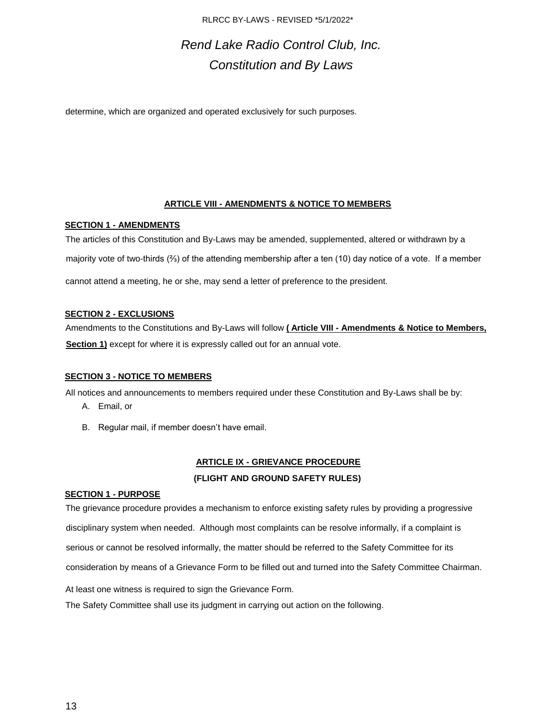# *Rend Lake Radio Control Club, Inc. Constitution and By Laws*

determine, which are organized and operated exclusively for such purposes.

### **ARTICLE VIII - AMENDMENTS & NOTICE TO MEMBERS**

### **SECTION 1 - AMENDMENTS**

The articles of this Constitution and By-Laws may be amended, supplemented, altered or withdrawn by a majority vote of two-thirds (⅔) of the attending membership after a ten (10) day notice of a vote. If a member cannot attend a meeting, he or she, may send a letter of preference to the president.

#### **SECTION 2 - EXCLUSIONS**

Amendments to the Constitutions and By-Laws will follow **( Article VIII - Amendments & Notice to Members, Section 1)** except for where it is expressly called out for an annual vote.

### **SECTION 3 - NOTICE TO MEMBERS**

All notices and announcements to members required under these Constitution and By-Laws shall be by:

- A. Email, or
- B. Regular mail, if member doesn't have email.

## **ARTICLE IX - GRIEVANCE PROCEDURE (FLIGHT AND GROUND SAFETY RULES)**

### **SECTION 1 - PURPOSE**

The grievance procedure provides a mechanism to enforce existing safety rules by providing a progressive disciplinary system when needed. Although most complaints can be resolve informally, if a complaint is serious or cannot be resolved informally, the matter should be referred to the Safety Committee for its consideration by means of a Grievance Form to be filled out and turned into the Safety Committee Chairman.

At least one witness is required to sign the Grievance Form.

The Safety Committee shall use its judgment in carrying out action on the following.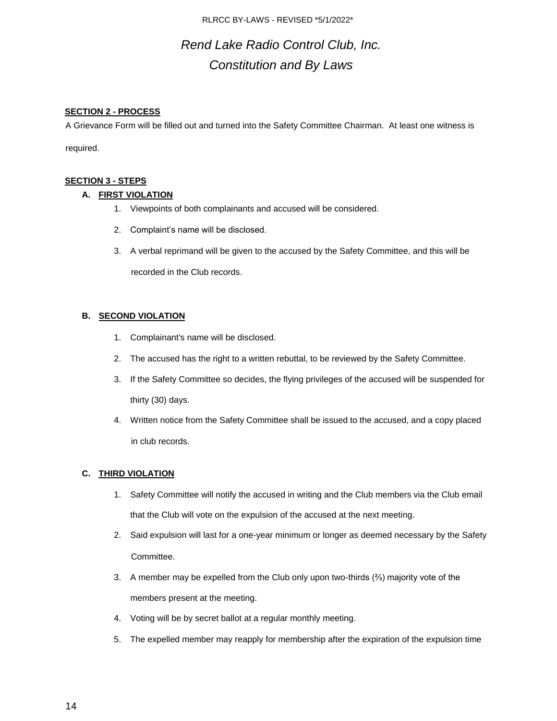# *Rend Lake Radio Control Club, Inc. Constitution and By Laws*

### **SECTION 2 - PROCESS**

A Grievance Form will be filled out and turned into the Safety Committee Chairman. At least one witness is

required.

### **SECTION 3 - STEPS**

### **A. FIRST VIOLATION**

- 1. Viewpoints of both complainants and accused will be considered.
- 2. Complaint's name will be disclosed.
- 3. A verbal reprimand will be given to the accused by the Safety Committee, and this will be recorded in the Club records.

### **B. SECOND VIOLATION**

- 1. Complainant's name will be disclosed.
- 2. The accused has the right to a written rebuttal, to be reviewed by the Safety Committee.
- 3. If the Safety Committee so decides, the flying privileges of the accused will be suspended for thirty (30) days.
- 4. Written notice from the Safety Committee shall be issued to the accused, and a copy placed in club records.

## **C. THIRD VIOLATION**

- 1. Safety Committee will notify the accused in writing and the Club members via the Club email that the Club will vote on the expulsion of the accused at the next meeting.
- 2. Said expulsion will last for a one-year minimum or longer as deemed necessary by the Safety Committee.
- 3. A member may be expelled from the Club only upon two-thirds (⅔) majority vote of the members present at the meeting.
- 4. Voting will be by secret ballot at a regular monthly meeting.
- 5. The expelled member may reapply for membership after the expiration of the expulsion time